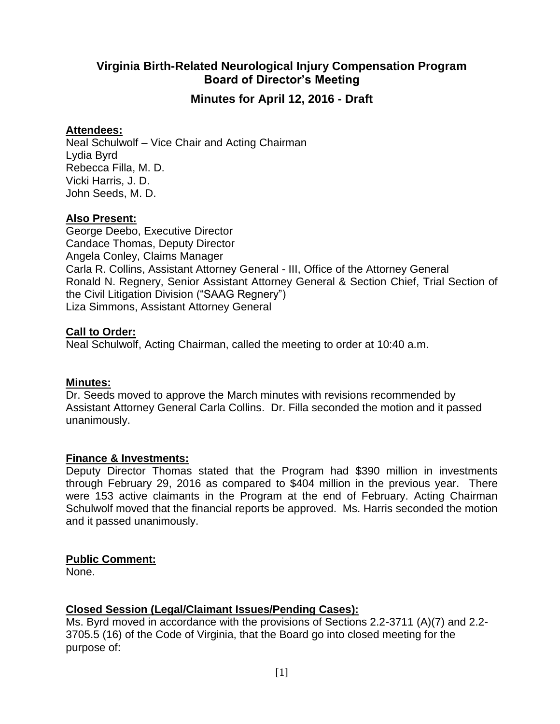# **Virginia Birth-Related Neurological Injury Compensation Program Board of Director's Meeting**

**Minutes for April 12, 2016 - Draft**

# **Attendees:**

Neal Schulwolf – Vice Chair and Acting Chairman Lydia Byrd Rebecca Filla, M. D. Vicki Harris, J. D. John Seeds, M. D.

# **Also Present:**

George Deebo, Executive Director Candace Thomas, Deputy Director Angela Conley, Claims Manager Carla R. Collins, Assistant Attorney General - III, Office of the Attorney General Ronald N. Regnery, Senior Assistant Attorney General & Section Chief, Trial Section of the Civil Litigation Division ("SAAG Regnery") Liza Simmons, Assistant Attorney General

# **Call to Order:**

Neal Schulwolf, Acting Chairman, called the meeting to order at 10:40 a.m.

# **Minutes:**

Dr. Seeds moved to approve the March minutes with revisions recommended by Assistant Attorney General Carla Collins. Dr. Filla seconded the motion and it passed unanimously.

# **Finance & Investments:**

Deputy Director Thomas stated that the Program had \$390 million in investments through February 29, 2016 as compared to \$404 million in the previous year. There were 153 active claimants in the Program at the end of February. Acting Chairman Schulwolf moved that the financial reports be approved. Ms. Harris seconded the motion and it passed unanimously.

# **Public Comment:**

None.

# **Closed Session (Legal/Claimant Issues/Pending Cases):**

Ms. Byrd moved in accordance with the provisions of Sections 2.2-3711 (A)(7) and 2.2- 3705.5 (16) of the Code of Virginia, that the Board go into closed meeting for the purpose of: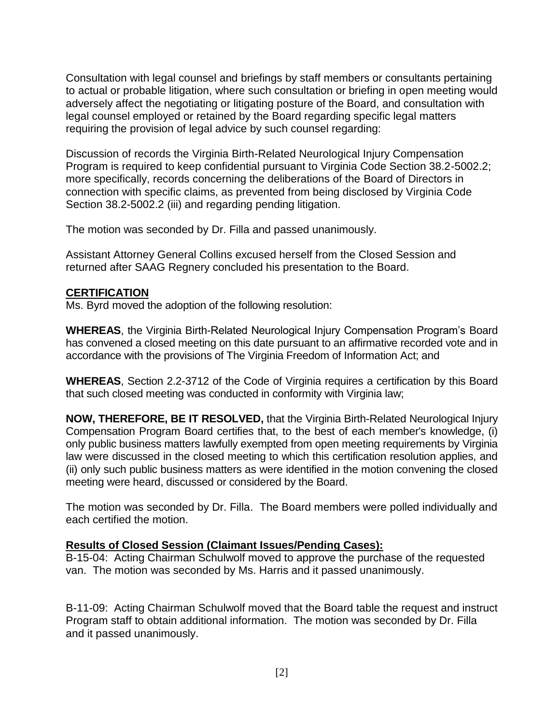Consultation with legal counsel and briefings by staff members or consultants pertaining to actual or probable litigation, where such consultation or briefing in open meeting would adversely affect the negotiating or litigating posture of the Board, and consultation with legal counsel employed or retained by the Board regarding specific legal matters requiring the provision of legal advice by such counsel regarding:

Discussion of records the Virginia Birth-Related Neurological Injury Compensation Program is required to keep confidential pursuant to Virginia Code Section 38.2-5002.2; more specifically, records concerning the deliberations of the Board of Directors in connection with specific claims, as prevented from being disclosed by Virginia Code Section 38.2-5002.2 (iii) and regarding pending litigation.

The motion was seconded by Dr. Filla and passed unanimously.

Assistant Attorney General Collins excused herself from the Closed Session and returned after SAAG Regnery concluded his presentation to the Board.

### **CERTIFICATION**

Ms. Byrd moved the adoption of the following resolution:

**WHEREAS**, the Virginia Birth-Related Neurological Injury Compensation Program's Board has convened a closed meeting on this date pursuant to an affirmative recorded vote and in accordance with the provisions of The Virginia Freedom of Information Act; and

**WHEREAS**, Section 2.2-3712 of the Code of Virginia requires a certification by this Board that such closed meeting was conducted in conformity with Virginia law;

**NOW, THEREFORE, BE IT RESOLVED,** that the Virginia Birth-Related Neurological Injury Compensation Program Board certifies that, to the best of each member's knowledge, (i) only public business matters lawfully exempted from open meeting requirements by Virginia law were discussed in the closed meeting to which this certification resolution applies, and (ii) only such public business matters as were identified in the motion convening the closed meeting were heard, discussed or considered by the Board.

The motion was seconded by Dr. Filla. The Board members were polled individually and each certified the motion.

# **Results of Closed Session (Claimant Issues/Pending Cases):**

B-15-04: Acting Chairman Schulwolf moved to approve the purchase of the requested van. The motion was seconded by Ms. Harris and it passed unanimously.

B-11-09: Acting Chairman Schulwolf moved that the Board table the request and instruct Program staff to obtain additional information. The motion was seconded by Dr. Filla and it passed unanimously.